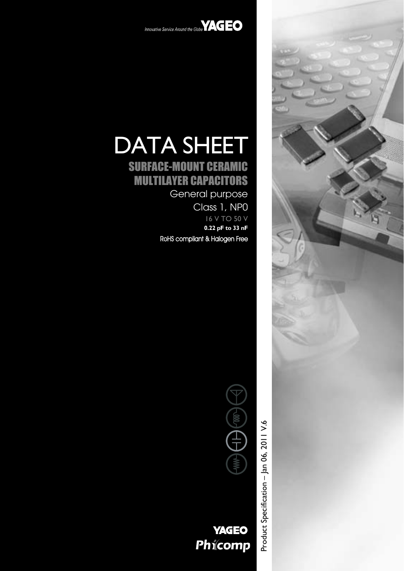



# DATA SHEET

# SURFACE-MOUNT CERAMIC MULTILAYER CAPACITORS

General purpose

Class 1, NP0 16 V TO 50 V **0.22 pF to 33 nF** RoHS compliant & Halogen Free



**YAGEO** Phicomp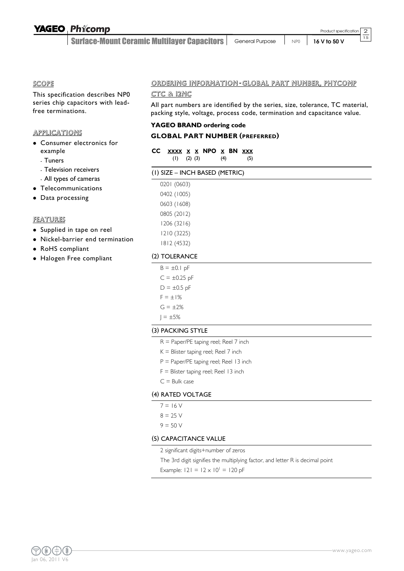## **YAGEO Phicomp**

Surface-Mount Ceramic Multilayer Capacitors | General Purpose | NP0 | 16 V to 50 V

2  $\overline{15}$ 

SCOPE

This specification describes NP0 series chip capacitors with leadfree terminations.

#### **APPLICATIONS**

- Consumer electronics for example
	- Tuners
	- Television receivers
	- All types of cameras
- Telecommunications
- Data processing

#### FEATURES

- Supplied in tape on reel
- Nickel-barrier end termination
- RoHS compliant
- Halogen Free compliant

#### ORDERING INFORMATION -GLOBAL PART NUMBER, PHYCOMP

#### CTC & 12NC

All part numbers are identified by the series, size, tolerance, TC material, packing style, voltage, process code, termination and capacitance value.

#### **YAGEO BRAND ordering code**

#### **GLOBAL PART NUMBER (PREFERRED)**

| CC XXXX X X NPO X BN XXX |  |     |     |
|--------------------------|--|-----|-----|
| $(1)$ $(2)$ $(3)$        |  | (4) | (5) |

| (I) SIZE - INCH BASED (METRIC) |  |
|--------------------------------|--|
|--------------------------------|--|

| 0201 (0603) |
|-------------|
| 0402 (1005) |
| 0603 (1608) |
| 0805 (2012) |
| 1206 (3216) |
| 1210 (3225) |
| 1812 (4532) |

#### (2) TOLERANCE

| $B = \pm 0.1$ pF  |
|-------------------|
| $C = \pm 0.25$ pF |
| $D = \pm 0.5$ pF  |
| $F = \pm 1\%$     |
| $G = \pm 2\%$     |
| $1 = \pm 5\%$     |

#### (3) PACKING STYLE

- R = Paper/PE taping reel; Reel 7 inch
- $K =$  Blister taping reel; Reel 7 inch
- P = Paper/PE taping reel; Reel 13 inch
- $F =$  Blister taping reel; Reel 13 inch
- $C =$  Bulk case

#### (4) RATED VOLTAGE

- $7 = 16 V$
- $8 = 25 V$
- $9 = 50 V$

#### (5) CAPACITANCE VALUE

2 significant digits+number of zeros

The 3rd digit signifies the multiplying factor, and letter R is decimal point

Example:  $|21 = 12 \times 10^{1} = 120$  pF

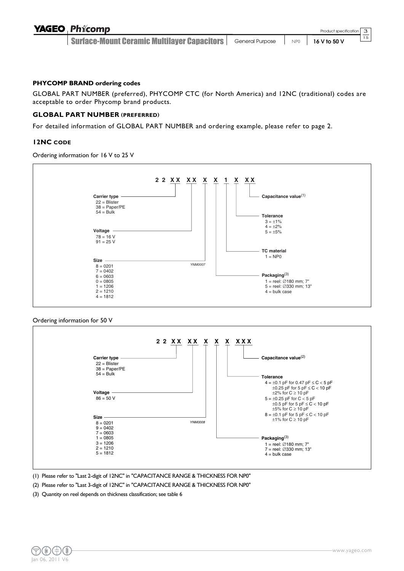| <b>YAGEO Phicomp</b>                        |                                                          | Product specification 3 |    |
|---------------------------------------------|----------------------------------------------------------|-------------------------|----|
| Surface-Mount Ceramic Multilayer Capacitors | General Purpose $\parallel$ NP0 $\parallel$ 16 V to 50 V |                         | 15 |

#### **PHYCOMP BRAND ordering codes**

GLOBAL PART NUMBER (preferred), PHYCOMP CTC (for North America) and 12NC (traditional) codes are acceptable to order Phycomp brand products.

#### **GLOBAL PART NUMBER (PREFERRED)**

For detailed information of GLOBAL PART NUMBER and ordering example, please refer to page 2.

#### **12NC CODE**

Ordering information for 16 V to 25 V



#### Ordering information for 50 V



(1) Please refer to "Last 2-digit of 12NC" in "CAPACITANCE RANGE & THICKNESS FOR NP0"

- (2) Please refer to "Last 3-digit of 12NC" in "CAPACITANCE RANGE & THICKNESS FOR NP0"
- (3) Quantity on reel depends on thickness classification; see table 6

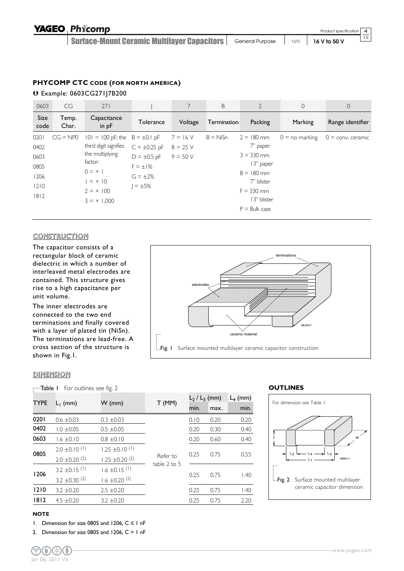#### **PHYCOMP CTC CODE (FOR NORTH AMERICA)**

Ä Example: 0603CG271J7B200

| 0603         | CG             | 271                    |                   | 7          | B           | $\overline{2}$  | $\overline{0}$   | $\theta$                   |
|--------------|----------------|------------------------|-------------------|------------|-------------|-----------------|------------------|----------------------------|
| Size<br>code | Temp.<br>Char. | Capacitance<br>in $pF$ | Tolerance         | Voltage    | Termination | Packing         | Marking          | Range identifier           |
| 0201         | $CG = NP0$     | $101 = 100$ pF; the    | $B = \pm 0.1$ pF  | $7 = 16 V$ | $B = NiSn$  | $2 = 180$ mm    | $0 =$ no marking | $0 = \text{conv.}$ ceramic |
| 0402         |                | third digit signifies  | $C = \pm 0.25$ pF | $8 = 25$ V |             | 7" paper        |                  |                            |
| 0603         |                | the multiplying        | $D = \pm 0.5$ pF  | $9 = 50 V$ |             | $3 = 330$ mm    |                  |                            |
| 0805         |                | factor:                | $F = \pm 1\%$     |            |             | 13" paper       |                  |                            |
| 1206         |                | $0 = x$                | $G = \pm 2\%$     |            |             | $B = 180$ mm    |                  |                            |
| 1210         |                | $= x 10$               | $= \pm 5\%$       |            |             | 7" blister      |                  |                            |
| 1812         |                | $2 = x 100$            |                   |            |             | $F = 330$ mm    |                  |                            |
|              |                | $3 = \times 1,000$     |                   |            |             | 13" blister     |                  |                            |
|              |                |                        |                   |            |             | $P =$ Bulk case |                  |                            |

#### **CONSTRUCTION**

The capacitor consists of a rectangular block of ceramic dielectric in which a number of interleaved metal electrodes are contained. This structure gives rise to a high capacitance per unit volume.

The inner electrodes are connected to the two end terminations and finally covered with a layer of plated tin (NiSn). The terminations are lead-free. A cross section of the structure is shown in Fig.1.



#### DIMENSION

| —Table I                                                                                                    | For outlines see fig. 2       |                               |       |      |                    |            |
|-------------------------------------------------------------------------------------------------------------|-------------------------------|-------------------------------|-------|------|--------------------|------------|
| <b>TYPE</b>                                                                                                 |                               |                               |       |      | $L_2$ / $L_3$ (mm) | $L_4$ (mm) |
|                                                                                                             | $L_1$ (mm)                    | $W$ (mm)                      | T(MM) | min. | max.               | min.       |
| 0201                                                                                                        | $0.6 \pm 0.03$                | $0.3 \pm 0.03$                |       | 0.10 | 0.20               | 0.20       |
| 0402                                                                                                        | $1.0 \pm 0.05$                | $0.5 \pm 0.05$                |       | 0.20 | 0.30               | 0.40       |
| 0603                                                                                                        | $1.6 \pm 0.10$                | $0.8 \pm 0.10$                |       | 0.20 | 0.60               | 0.40       |
|                                                                                                             | $2.0 \pm 0.10^{(1)}$          | $1.25 \pm 0.10^{(1)}$         |       |      | 0.75               | 0.55       |
| 0805<br>0.25<br>Refer to<br>1.25 $\pm$ 0.20 <sup>(2)</sup><br>$2.0 \pm 0.20$ <sup>(2)</sup><br>table 2 to 5 |                               |                               |       |      |                    |            |
| 1206                                                                                                        | 3.2 $\pm$ 0.15 <sup>(1)</sup> | $1.6 \pm 0.15$ <sup>(1)</sup> |       | 0.25 | 0.75               | 1.40       |
|                                                                                                             | 3.2 $\pm$ 0.30 <sup>(2)</sup> | $1.6 \pm 0.20$ <sup>(2)</sup> |       |      |                    |            |
| 1210                                                                                                        | $3.2 \pm 0.20$                | $2.5 \pm 0.20$                |       | 0.25 | 0.75               | 1.40       |
| 1812                                                                                                        | $4.5 \pm 0.20$                | $3.2 \pm 0.20$                |       | 0.25 | 0.75               | 2.20       |

#### **OUTLINES**



#### **NOTE**

1. Dimension for size 0805 and 1206,  $C \le 1$  nF

2. Dimension for size 0805 and 1206,  $C > 1$  nF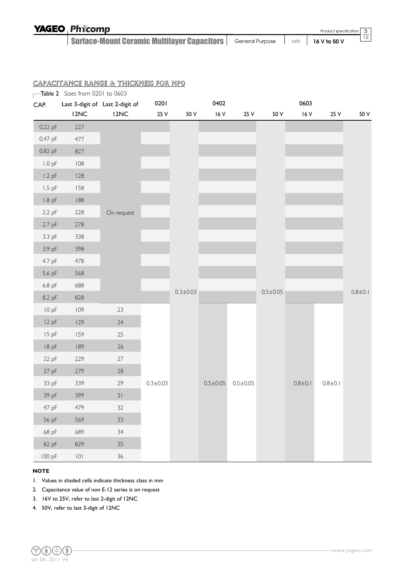| <b>YAGEO Phicomp</b>                                 |                 | Product specification 5 | __              |
|------------------------------------------------------|-----------------|-------------------------|-----------------|
| <b>Surface-Mount Ceramic Multilayer Capacitors  </b> | General Purpose | NP0   16 V to 50 V      | $\overline{15}$ |

|          | Table 2 Sizes from 0201 to 0603 |                                 |                |                |                |                |                |             |             |             |
|----------|---------------------------------|---------------------------------|----------------|----------------|----------------|----------------|----------------|-------------|-------------|-------------|
| CAP.     |                                 | Last 3-digit of Last 2-digit of | 0201           |                | 0402           |                |                | 0603        |             |             |
|          | I2NC                            | I2NC                            | 25 V           | 50 V           | $16V$          | 25 V           | 50 V           | 16 V        | 25 V        | 50 V        |
| 0.22 pF  | $227\,$                         |                                 |                |                |                |                |                |             |             |             |
| 0.47 pF  | 477                             |                                 |                |                |                |                |                |             |             |             |
| 0.82 pF  | 827                             |                                 |                |                |                |                |                |             |             |             |
| $1.0$ pF | $108$                           |                                 |                |                |                |                |                |             |             |             |
| $1.2$ pF | 128                             |                                 |                |                |                |                |                |             |             |             |
| $1.5$ pF | 158                             |                                 |                |                |                |                |                |             |             |             |
| $1.8$ pF | $\sqrt{88}$                     |                                 |                |                |                |                |                |             |             |             |
| $2.2$ pF | 228                             | On request                      |                |                |                |                |                |             |             |             |
| $2.7$ pF | 278                             |                                 |                |                |                |                |                |             |             |             |
| 3.3 pF   | 338                             |                                 |                |                |                |                |                |             |             |             |
| 3.9 pF   | 398                             |                                 |                |                |                |                |                |             |             |             |
| 4.7 pF   | 478                             |                                 |                |                |                |                |                |             |             |             |
| 5.6 pF   | 568                             |                                 |                |                |                |                |                |             |             |             |
| 6.8 pF   | 688                             |                                 |                | $0.3 \pm 0.03$ |                |                | $0.5 \pm 0.05$ |             |             | $0.8 + 0.1$ |
| 8.2 pF   | 828                             |                                 |                |                |                |                |                |             |             |             |
| 10 pF    | 109                             | 23                              |                |                |                |                |                |             |             |             |
| 12 pF    | 129                             | 24                              |                |                |                |                |                |             |             |             |
| 15 pF    | 159                             | 25                              |                |                |                |                |                |             |             |             |
| 18 pF    | 189                             | $26\,$                          |                |                |                |                |                |             |             |             |
| 22 pF    | 229                             | 27                              |                |                |                |                |                |             |             |             |
| $27$ pF  | 279                             | $28\,$                          |                |                |                |                |                |             |             |             |
| 33 pF    | 339                             | 29                              | $0.3 \pm 0.03$ |                | $0.5 \pm 0.05$ | $0.5 \pm 0.05$ |                | $0.8 + 0.1$ | $0.8 + 0.1$ |             |
| 39 pF    | 399                             | $31$                            |                |                |                |                |                |             |             |             |
| 47 pF    | 479                             | 32                              |                |                |                |                |                |             |             |             |
| 56 pF    | 569                             | $33\,$                          |                |                |                |                |                |             |             |             |
| 68 pF    | 689                             | 34                              |                |                |                |                |                |             |             |             |
| 82 pF    | 829                             | $35\,$                          |                |                |                |                |                |             |             |             |
| 100 pF   | $\vert\,0\,\vert$               | $36\,$                          |                |                |                |                |                |             |             |             |

#### **NOTE**

1. Values in shaded cells indicate thickness class in mm

2. Capacitance value of non E-12 series is on request

3. 16V to 25V, refer to last 2-digit of 12NC

4. 50V, refer to last 3-digit of 12NC

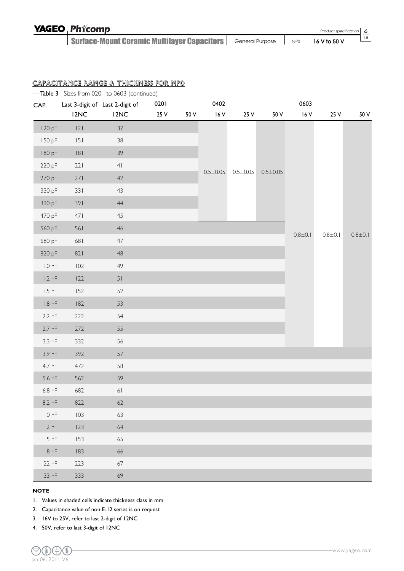| <b>YAGEO Phicomp</b>                                 |                                      | Product specification 6 |
|------------------------------------------------------|--------------------------------------|-------------------------|
| <b>Surface-Mount Ceramic Multilayer Capacitors  </b> | General Purpose   NPO   16 V to 50 V | 15                      |

|                  |      | Table 3 Sizes from 0201 to 0603 (continued) |      |      |                |                |                |             |             |             |
|------------------|------|---------------------------------------------|------|------|----------------|----------------|----------------|-------------|-------------|-------------|
| CAP.             |      | Last 3-digit of Last 2-digit of             | 0201 |      | 0402           |                |                | 0603        |             |             |
|                  | 12NC | 12NC                                        | 25 V | 50 V | $16V$          | 25 V           | 50 V           | 16 V        | 25 V        | 50 V        |
| 120 pF           | 2    | $37\,$                                      |      |      |                |                |                |             |             |             |
| 150 pF           | 5    | 38                                          |      |      |                |                |                |             |             |             |
| 180 pF           | 8    | 39                                          |      |      |                |                |                |             |             |             |
| 220 pF           | 221  | 4 <sub>1</sub>                              |      |      | $0.5 \pm 0.05$ | $0.5 \pm 0.05$ | $0.5 \pm 0.05$ |             |             |             |
| 270 pF           | 271  | 42                                          |      |      |                |                |                |             |             |             |
| 330 pF           | 331  | 43                                          |      |      |                |                |                |             |             |             |
| 390 pF           | 391  | 44                                          |      |      |                |                |                |             |             |             |
| 470 pF           | 471  | 45                                          |      |      |                |                |                |             |             |             |
| 560 pF           | 561  | 46                                          |      |      |                |                |                |             |             | $0.8 + 0.1$ |
| 680 pF           | 681  | 47                                          |      |      |                |                |                | $0.8 + 0.1$ | $0.8 + 0.1$ |             |
| 820 pF           | 821  | $48\,$                                      |      |      |                |                |                |             |             |             |
| $1.0\;nF$        | 102  | 49                                          |      |      |                |                |                |             |             |             |
| $1.2 \text{ nF}$ | 122  | 51                                          |      |      |                |                |                |             |             |             |
| $1.5$ nF         | 152  | 52                                          |      |      |                |                |                |             |             |             |
| $1.8$ nF         | 182  | 53                                          |      |      |                |                |                |             |             |             |
| $2.2 \text{ nF}$ | 222  | 54                                          |      |      |                |                |                |             |             |             |
| $2.7$ nF         | 272  | 55                                          |      |      |                |                |                |             |             |             |
| $3.3 \text{ nF}$ | 332  | 56                                          |      |      |                |                |                |             |             |             |
| 3.9 nF           | 392  | 57                                          |      |      |                |                |                |             |             |             |
| 4.7 nF           | 472  | 58                                          |      |      |                |                |                |             |             |             |
| $5.6$ nF         | 562  | 59                                          |      |      |                |                |                |             |             |             |
| $6.8$ nF         | 682  | $61$                                        |      |      |                |                |                |             |             |             |
| $8.2 \text{ nF}$ | 822  | 62                                          |      |      |                |                |                |             |             |             |
| 10 nF            | 103  | 63                                          |      |      |                |                |                |             |             |             |
| 12 nF            | 123  | 64                                          |      |      |                |                |                |             |             |             |
| 15 nF            | 153  | 65                                          |      |      |                |                |                |             |             |             |
| 18 nF            | 183  | 66                                          |      |      |                |                |                |             |             |             |
| 22 nF            | 223  | 67                                          |      |      |                |                |                |             |             |             |
| 33 nF            | 333  | 69                                          |      |      |                |                |                |             |             |             |

#### **NOTE**

1. Values in shaded cells indicate thickness class in mm

2. Capacitance value of non E-12 series is on request

3. 16V to 25V, refer to last 2-digit of 12NC

4. 50V, refer to last 3-digit of 12NC

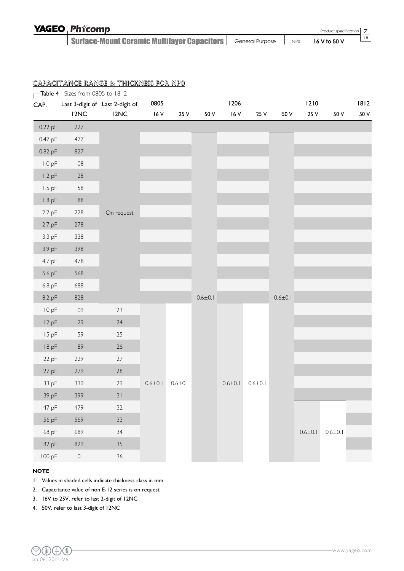| <b>YAGEO Phicomp</b>                                                                                        |  | Product specification 7 |    |
|-------------------------------------------------------------------------------------------------------------|--|-------------------------|----|
| <b>Surface-Mount Ceramic Multilayer Capacitors</b> $\vert$ General Purpose $\vert$ NP0 $\vert$ 16 V to 50 V |  |                         | 15 |

|                   | Table 4 Sizes from 0805 to 1812 |                                 |               |               |               |               |               |               |               |               |      |
|-------------------|---------------------------------|---------------------------------|---------------|---------------|---------------|---------------|---------------|---------------|---------------|---------------|------|
| CAP.              |                                 | Last 3-digit of Last 2-digit of | 0805          |               |               | 1206          |               |               | 1210          |               | 1812 |
|                   | 12NC                            | 12NC                            | $16V$         | 25 V          | 50 V          | 16V           | 25 V          | 50 V          | 25 V          | 50 V          | 50 V |
| 0.22 pF           | 227                             |                                 |               |               |               |               |               |               |               |               |      |
| 0.47 pF           | 477                             |                                 |               |               |               |               |               |               |               |               |      |
| 0.82 pF           | 827                             |                                 |               |               |               |               |               |               |               |               |      |
| 1.0 <sub>pF</sub> | $108$                           |                                 |               |               |               |               |               |               |               |               |      |
| $1.2$ pF          | 128                             |                                 |               |               |               |               |               |               |               |               |      |
| $1.5$ pF          | 158                             |                                 |               |               |               |               |               |               |               |               |      |
| $1.8$ pF          | $188\,$                         |                                 |               |               |               |               |               |               |               |               |      |
| 2.2 pF            | 228                             | On request                      |               |               |               |               |               |               |               |               |      |
| $2.7$ pF          | 278                             |                                 |               |               |               |               |               |               |               |               |      |
| 3.3 pF            | 338                             |                                 |               |               |               |               |               |               |               |               |      |
| 3.9 pF            | 398                             |                                 |               |               |               |               |               |               |               |               |      |
| 4.7 pF            | 478                             |                                 |               |               |               |               |               |               |               |               |      |
| 5.6 pF            | 568                             |                                 |               |               |               |               |               |               |               |               |      |
| 6.8 pF            | 688                             |                                 |               |               |               |               |               |               |               |               |      |
| 8.2 pF            | 828                             |                                 |               |               | $0.6 \pm 0.1$ |               |               | $0.6 \pm 0.1$ |               |               |      |
| 10 pF             | 109                             | 23                              |               |               |               |               |               |               |               |               |      |
| 12 pF             | 129                             | $24$                            |               |               |               |               |               |               |               |               |      |
| 15 pF             | 159                             | 25                              |               |               |               |               |               |               |               |               |      |
| 18 pF             | 189                             | $26\,$                          |               |               |               |               |               |               |               |               |      |
| 22 pF             | 229                             | $27\,$                          |               |               |               |               |               |               |               |               |      |
| 27 pF             | 279                             | $28\,$                          |               |               |               |               |               |               |               |               |      |
| 33 pF             | 339                             | 29                              | $0.6 \pm 0.1$ | $0.6 \pm 0.1$ |               | $0.6 \pm 0.1$ | $0.6 \pm 0.1$ |               |               |               |      |
| 39 pF             | 399                             | $31$                            |               |               |               |               |               |               |               |               |      |
| 47 pF             | 479                             | 32                              |               |               |               |               |               |               |               |               |      |
| 56 pF             | 569                             | $33\,$                          |               |               |               |               |               |               |               |               |      |
| 68 pF             | 689                             | 34                              |               |               |               |               |               |               | $0.6 \pm 0.1$ | $0.6 \pm 0.1$ |      |
| 82 pF             | 829                             | $35\,$                          |               |               |               |               |               |               |               |               |      |
| 100 pF            | $\vert 0 \vert$                 | 36                              |               |               |               |               |               |               |               |               |      |

#### **NOTE**

1. Values in shaded cells indicate thickness class in mm

2. Capacitance value of non E-12 series is on request

3. 16V to 25V, refer to last 2-digit of 12NC

4. 50V, refer to last 3-digit of 12NC

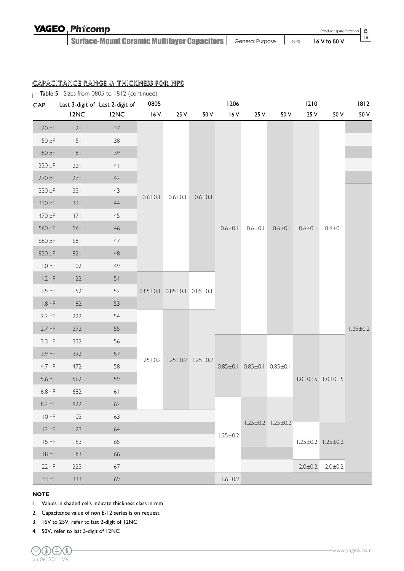| <b>YAGEO Phicomp</b>                                                               |  | Product specification 8 |    |
|------------------------------------------------------------------------------------|--|-------------------------|----|
| Surface-Mount Ceramic Multilayer Capacitors   General Purpose   NP0   16 V to 50 V |  |                         | 15 |

| CAP.             | Table 5 Sizes from 0805 to 1812 (continued) | Last 3-digit of Last 2-digit of | 0805           |                                              |                               | 1206           |                                              |                               | 1210          |                               | 1812           |
|------------------|---------------------------------------------|---------------------------------|----------------|----------------------------------------------|-------------------------------|----------------|----------------------------------------------|-------------------------------|---------------|-------------------------------|----------------|
|                  | 12NC                                        | I2NC                            | 16 V           | 25 V                                         | 50 V                          | $16V$          | 25 V                                         | 50 V                          | 25 V          | 50 V                          | 50 V           |
| 120 pF           | 2                                           | 37                              |                |                                              |                               |                |                                              |                               |               |                               |                |
| 150 pF           | 151                                         | 38                              |                |                                              |                               |                |                                              |                               |               |                               |                |
| 180 pF           | 8                                           | 39                              |                |                                              |                               |                |                                              |                               |               |                               |                |
| 220 pF           | 221                                         | 4 <sub>1</sub>                  |                |                                              |                               |                |                                              |                               |               |                               |                |
| 270 pF           | 271                                         | 42                              |                |                                              |                               |                |                                              |                               |               |                               |                |
| 330 pF           | 331                                         | 43                              |                |                                              |                               |                |                                              |                               |               |                               |                |
| 390 pF           | 391                                         | 44                              | $0.6 \pm 0.1$  | $0.6 \pm 0.1$                                | $0.6 \pm 0.1$                 |                |                                              |                               |               |                               |                |
| 470 pF           | 471                                         | 45                              |                |                                              |                               |                |                                              |                               |               |                               |                |
| 560 pF           | 561                                         | 46                              |                |                                              |                               | $0.6 \pm 0.1$  | $0.6 \pm 0.1$                                | $0.6 \pm 0.1$                 | $0.6 \pm 0.1$ | $0.6 \pm 0.1$                 |                |
| 680 pF           | 681                                         | 47                              |                |                                              |                               |                |                                              |                               |               |                               |                |
| 820 pF           | 821                                         | $48\,$                          |                |                                              |                               |                |                                              |                               |               |                               |                |
| $1.0 \text{ nF}$ | 102                                         | 49                              |                |                                              |                               |                |                                              |                               |               |                               |                |
| $1.2 \text{ nF}$ | 122                                         | 51                              |                |                                              |                               |                |                                              |                               |               |                               |                |
| $1.5$ nF         | 152                                         | 52                              |                | $0.85 \pm 0.1$ $0.85 \pm 0.1$ $0.85 \pm 0.1$ |                               |                |                                              |                               |               |                               |                |
| $1.8 \text{ nF}$ | $182$                                       | 53                              |                |                                              |                               |                |                                              |                               |               |                               |                |
| $2.2 \text{ nF}$ | 222                                         | 54                              |                |                                              |                               |                |                                              |                               |               |                               |                |
| $2.7$ nF         | 272                                         | 55                              |                |                                              |                               |                |                                              |                               |               |                               | $1.25 \pm 0.2$ |
| $3.3 \text{ nF}$ | 332                                         | 56                              |                |                                              |                               |                |                                              |                               |               |                               |                |
| $3.9 \text{ nF}$ | 392                                         | 57                              | $1.25 \pm 0.2$ |                                              | $1.25 \pm 0.2$ $1.25 \pm 0.2$ |                |                                              |                               |               |                               |                |
| 4.7 nF           | 472                                         | 58                              |                |                                              |                               |                | $0.85 \pm 0.1$ $0.85 \pm 0.1$ $0.85 \pm 0.1$ |                               |               |                               |                |
| 5.6 nF           | 562                                         | 59                              |                |                                              |                               |                |                                              |                               |               | $1.0 \pm 0.15$ $1.0 \pm 0.15$ |                |
| $6.8$ nF         | 682                                         | $61$                            |                |                                              |                               |                |                                              |                               |               |                               |                |
| 8.2 nF           | 822                                         | 62                              |                |                                              |                               |                |                                              |                               |               |                               |                |
| 10 nF            | 103                                         | 63                              |                |                                              |                               |                |                                              |                               |               |                               |                |
| 12 nF            | 123                                         | 64                              |                |                                              |                               |                |                                              | $1.25 \pm 0.2$ $1.25 \pm 0.2$ |               |                               |                |
| 15 nF            | 153                                         | 65                              |                |                                              |                               | $1.25 \pm 0.2$ |                                              |                               |               | $1.25 \pm 0.2$ $1.25 \pm 0.2$ |                |
| 18 nF            | 183                                         | 66                              |                |                                              |                               |                |                                              |                               |               |                               |                |
| 22 nF            | 223                                         | 67                              |                |                                              |                               |                |                                              |                               | $2.0 \pm 0.2$ | $2.0 \pm 0.2$                 |                |
| 33 nF            | 333                                         | 69                              |                |                                              |                               | $1.6 \pm 0.2$  |                                              |                               |               |                               |                |

#### **NOTE**

- 1. Values in shaded cells indicate thickness class in mm
- 2. Capacitance value of non E-12 series is on request
- 3. 16V to 25V, refer to last 2-digit of 12NC
- 4. 50V, refer to last 3-digit of 12NC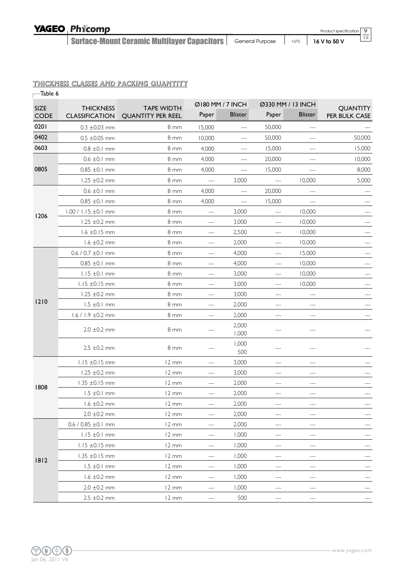## YAGEO Phicomp

Surface-Mount Ceramic Multilayer Capacitors | General Purpose | NP0 | 16 V to 50 V

#### THICKNESS CLASSES AND PACKING QUANTITY

| Table 6     |                           |                          |                     |                  |                   |                      |                            |
|-------------|---------------------------|--------------------------|---------------------|------------------|-------------------|----------------------|----------------------------|
| <b>SIZE</b> | <b>THICKNESS</b>          | <b>TAPE WIDTH</b>        |                     | Ø180 MM / 7 INCH | Ø330 MM / 13 INCH |                      | <b>QUANTITY</b>            |
| <b>CODE</b> | <b>CLASSIFICATION</b>     | <b>QUANTITY PER REEL</b> | Paper               | <b>Blister</b>   | Paper             | <b>Blister</b>       | PER BULK CASE              |
| 0201        | $0.3 \pm 0.03$ mm         | 8 mm                     | 15,000              | $\cdots$         | 50,000            | $\cdots$             |                            |
| 0402        | $0.5 \pm 0.05$ mm         | $8 \, \text{mm}$         | 10,000              | ---              | 50,000            | ---                  | 50,000                     |
| 0603        | $0.8 \pm 0.1$ mm          | 8 <sub>mm</sub>          | 4,000               | $---$            | 15,000            | $ -$                 | 15,000                     |
|             | $0.6 \pm 0.1$ mm          | 8 mm                     | 4,000               | $\cdots$         | 20,000            | $ -$                 | 10,000                     |
| 0805        | $0.85 \pm 0.1$ mm         | 8 mm                     | 4,000               | $- - -$          | 15,000            |                      | 8,000                      |
|             | $1.25 \pm 0.2 \text{ mm}$ | $8 \, \text{mm}$         | $\overline{a}$      | 3,000            | $\frac{1}{2}$     | 10,000               | 5,000                      |
|             | $0.6 \pm 0.1$ mm          | 8 mm                     | 4,000               | ---              | 20,000            |                      |                            |
|             | $0.85 \pm 0.1$ mm         | 8 mm                     | 4,000               | $---$            | 15,000            | $\overline{a}$       |                            |
|             | $1.00 / 1.15 \pm 0.1$ mm  | 8 mm                     | $\overline{a}$      | 3,000            | $\cdots$          | 10,000               | ---                        |
| 1206        | $1.25 \pm 0.2$ mm         | $8 \text{ mm}$           | $ -$                | 3,000            | $---$             | 10,000               |                            |
|             | $1.6 \pm 0.15$ mm         | 8 mm                     | $\qquad \qquad -$   | 2,500            | ---               | 10,000               | ---                        |
|             | $1.6 \pm 0.2$ mm          | $8 \text{ mm}$           | $ -$                | 2,000            | $-$               | 10,000               | $-$                        |
|             | $0.6 / 0.7 \pm 0.1$ mm    | 8 mm                     | $-$                 | 4,000            | $-$               | 15,000               | $-$                        |
|             | $0.85 \pm 0.1 \text{ mm}$ | 8 mm                     | $ -$                | 4,000            | ---               | 10,000               |                            |
|             | $1.15 \pm 0.1 \text{ mm}$ | 8 mm                     | $\qquad \qquad -$   | 3,000            | $---$             | 10,000               | $---$                      |
|             | $1.15 \pm 0.15$ mm        | 8 mm                     | $---$               | 3,000            | $-$               | 10,000               | $ -$                       |
|             | $1.25 \pm 0.2 \text{ mm}$ | 8 mm                     | ---                 | 3,000            | $-$               | $---$                |                            |
| 1210        | $1.5 \pm 0.1$ mm          | 8 mm                     | $ -$                | 2,000            | ---               | $---$                |                            |
|             | $1.6 / 1.9 \pm 0.2$ mm    | 8 mm                     | $---$               | 2,000            | $---$             | ---                  |                            |
|             | $2.0 \pm 0.2$ mm          | 8 mm                     | ---                 | 2,000<br>1,000   | $---$             | ---                  | ---                        |
|             | $2.5 \pm 0.2$ mm          | 8 mm                     |                     | 1,000<br>500     | ---               | $ -$                 |                            |
|             | $1.15 \pm 0.15$ mm        | 12 mm                    | ---                 | 3,000            | ---               | $---$                |                            |
|             | $1.25 \pm 0.2$ mm         | 12 mm                    | $---$               | 3,000            | ---               | $---$                |                            |
| 1808        | $1.35 \pm 0.15$ mm        | 12 mm                    | $\qquad \qquad -$   | 2,000            | $---$             | $---$                |                            |
|             | $1.5 \pm 0.1$ mm          | 12 mm                    |                     | 2,000            |                   |                      |                            |
|             | $1.6 \pm 0.2 \text{ mm}$  | 12 mm                    | $\qquad \qquad - -$ | 2,000            | $---$             | $\qquad \qquad -$    | $\qquad \qquad - \qquad -$ |
|             | $2.0 \pm 0.2$ mm          | $12 \, \text{mm}$        | ---                 | 2,000            | $---$             | $\qquad \qquad -$    |                            |
|             | $0.6 / 0.85 \pm 0.1$ mm   | $12 \, \text{mm}$        | ---                 | 2,000            | ---               | ---                  |                            |
|             | $1.15 \pm 0.1$ mm         | 12 mm                    | ---                 | 1,000            | ---               | $\sim$ $\sim$ $\sim$ | $---$                      |
|             | $1.15 \pm 0.15$ mm        | 12 mm                    | $\qquad \qquad - -$ | 1,000            | $---$             | $\overline{a}$       |                            |
| 1812        | $1.35 \pm 0.15$ mm        | 12 mm                    | $\qquad \qquad - -$ | 1,000            | $\qquad \qquad -$ | ---                  | $---$                      |
|             | $1.5 \pm 0.1$ mm          | 12 mm                    | ---                 | 1,000            | $---$             | $\qquad \qquad - -$  | $\qquad \qquad - \qquad -$ |
|             | $1.6 \pm 0.2 \text{ mm}$  | 12 mm                    | $\qquad \qquad - -$ | 1,000            | ---               | ---                  | $---$                      |
|             | $2.0 \pm 0.2$ mm          | $12 \, \text{mm}$        | $---$               | 1,000            | ---               | $---$                | $---$                      |
|             | $2.5 \pm 0.2 \text{ mm}$  | 12 mm                    | ---                 | 500              | ---               | $---$                |                            |

9 15

Product specification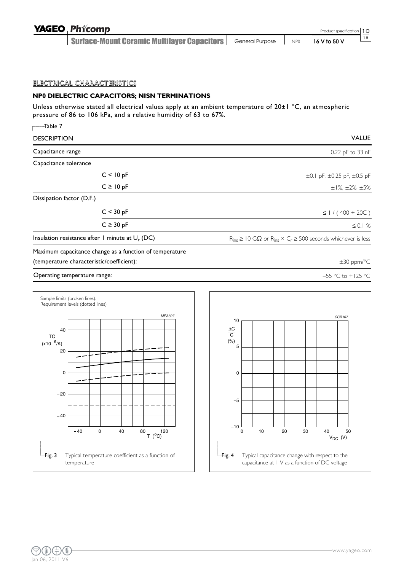| <b>YAGEO Phicomp</b>                        |                                      | Product specification 10 |    |
|---------------------------------------------|--------------------------------------|--------------------------|----|
| Surface-Mount Ceramic Multilayer Capacitors | General Purpose   NPO   16 V to 50 V |                          | 15 |

#### ELECTRICAL CHARACTERISTICS

#### **NP0 DIELECTRIC CAPACITORS; NISN TERMINATIONS**

Unless otherwise stated all electrical values apply at an ambient temperature of 20±1 °C, an atmospheric pressure of 86 to 106 kPa, and a relative humidity of 63 to 67%.

| -Table 7                                  |                                                         |                                                                                         |
|-------------------------------------------|---------------------------------------------------------|-----------------------------------------------------------------------------------------|
| <b>DESCRIPTION</b>                        |                                                         | <b>VALUE</b>                                                                            |
| Capacitance range                         |                                                         | 0.22 pF to 33 nF                                                                        |
| Capacitance tolerance                     |                                                         |                                                                                         |
|                                           | C < 10 pF                                               | $\pm 0.1$ pF, $\pm 0.25$ pF, $\pm 0.5$ pF                                               |
|                                           | $C \ge 10 pF$                                           | $\pm$ 1%, $\pm$ 2%, $\pm$ 5%                                                            |
| Dissipation factor (D.F.)                 |                                                         |                                                                                         |
|                                           | C < 30 pF                                               | $\leq$   / (400 + 20C)                                                                  |
|                                           | $C \geq 30$ pF                                          | $\leq 0.1%$                                                                             |
|                                           | Insulation resistance after 1 minute at $U_r$ (DC)      | $R_{ins} \geq 10$ G $\Omega$ or $R_{ins} \times C_r \geq 500$ seconds whichever is less |
|                                           | Maximum capacitance change as a function of temperature |                                                                                         |
| (temperature characteristic/coefficient): |                                                         | $\pm 30$ ppm/°C                                                                         |
| Operating temperature range:              |                                                         | -55 °C to +125 °C                                                                       |



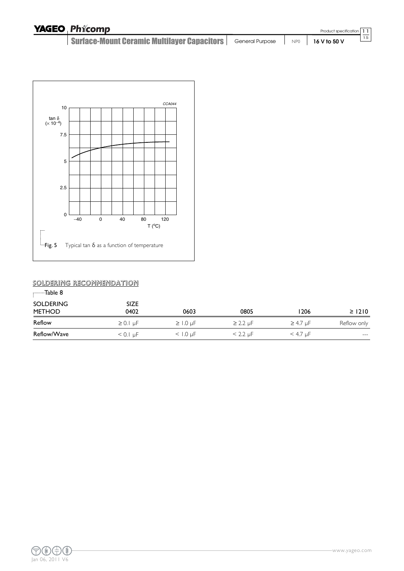| <b>YAGEO Phicomp</b>                                                               |  | Product specification |
|------------------------------------------------------------------------------------|--|-----------------------|
| Surface-Mount Ceramic Multilayer Capacitors   General Purpose   NP0   16 V to 50 V |  |                       |



## SOLDERING RECOMMENDATION

| Table 8                           |                     |                 |               |                 |                           |
|-----------------------------------|---------------------|-----------------|---------------|-----------------|---------------------------|
| <b>SOLDERING</b><br><b>METHOD</b> | <b>SIZE</b><br>0402 | 0603            | 0805          | 1206            | $\geq$ 1210               |
| Reflow                            | $\geq 0.1$ µF       | $\geq$ 1.0 uF   | $\geq$ 2.2 µF | $\geq$ 4.7 µF   | Reflow only               |
| Reflow/Wave                       | $< 0.1 \mu F$       | $<$ 1.0 $\mu$ F | $< 2.2 \mu F$ | $<$ 4.7 $\mu$ F | $\qquad \qquad -\qquad -$ |



11 15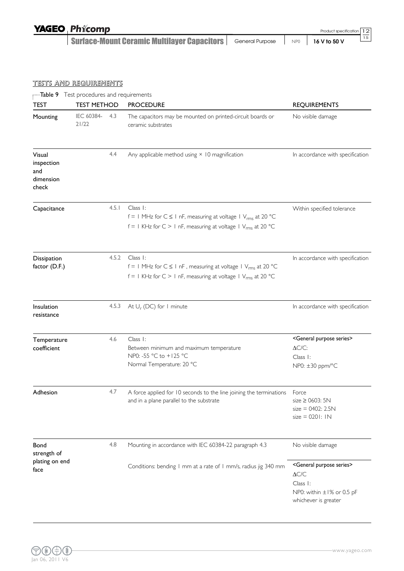| <b>YAGEO Phicomp</b>                                                                                        |  | Product specification 12 |    |
|-------------------------------------------------------------------------------------------------------------|--|--------------------------|----|
| <b>Surface-Mount Ceramic Multilayer Capacitors</b> $\vert$ General Purpose $\vert$ NP0 $\vert$ 16 V to 50 V |  |                          | 15 |

## TESTS AND REQUIREMENTS

| $\overline{\phantom{a}}$ Table 9 Test procedures and requirements<br><b>TEST</b> | <b>TEST METHOD</b>  |       | <b>PROCEDURE</b>                                                                                                                                                  | <b>REQUIREMENTS</b>                                                                                                                                                                |
|----------------------------------------------------------------------------------|---------------------|-------|-------------------------------------------------------------------------------------------------------------------------------------------------------------------|------------------------------------------------------------------------------------------------------------------------------------------------------------------------------------|
| Mounting                                                                         | IEC 60384-<br>21/22 | 4.3   | The capacitors may be mounted on printed-circuit boards or<br>ceramic substrates                                                                                  | No visible damage                                                                                                                                                                  |
| Visual<br>inspection<br>and<br>dimension<br>check                                |                     | 4.4   | Any applicable method using × 10 magnification                                                                                                                    | In accordance with specification                                                                                                                                                   |
| Capacitance                                                                      |                     | 4.5.1 | Class I:<br>$f = 1$ MHz for $C \le 1$ nF, measuring at voltage 1 $V_{rms}$ at 20 °C<br>$f = 1$ KHz for C > 1 nF, measuring at voltage 1 $V_{rms}$ at 20 °C        | Within specified tolerance                                                                                                                                                         |
| Dissipation<br>factor (D.F.)                                                     |                     | 4.5.2 | Class I:<br>$f = 1$ MHz for $C \le 1$ nF, measuring at voltage 1 V <sub>rms</sub> at 20 °C<br>$f = 1$ KHz for C > 1 nF, measuring at voltage 1 $V_{rms}$ at 20 °C | In accordance with specification                                                                                                                                                   |
| Insulation<br>resistance                                                         |                     | 4.5.3 | At $U_r$ (DC) for 1 minute                                                                                                                                        | In accordance with specification                                                                                                                                                   |
| Temperature<br>coefficient                                                       |                     | 4.6   | Class 1:<br>Between minimum and maximum temperature<br>NP0: -55 °C to +125 °C<br>Normal Temperature: 20 °C                                                        | <general purpose="" series=""><br/><math>\Delta C/C</math>:<br/>Class 1:<br/>NP0: ±30 ppm/°C</general>                                                                             |
| Adhesion                                                                         |                     | 4.7   | A force applied for 10 seconds to the line joining the terminations  Force<br>and in a plane parallel to the substrate                                            | size $\geq$ 0603: 5N<br>$size = 0402: 2.5N$<br>$size = 0201:1N$                                                                                                                    |
| Bond<br>strength of                                                              |                     | 4.8   | Mounting in accordance with IEC 60384-22 paragraph 4.3                                                                                                            | No visible damage                                                                                                                                                                  |
| plating on end<br>face                                                           |                     |       | Conditions: bending I mm at a rate of I mm/s, radius jig 340 mm                                                                                                   | <general purpose="" series=""><br/><math display="inline">\Delta{\text{C/C}}</math><br/>Class I:<br/>NP0: within <math>\pm 1\%</math> or 0.5 pF<br/>whichever is greater</general> |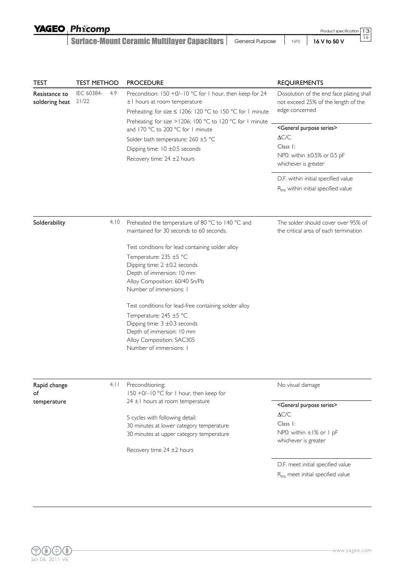| <b>YAGEO Phicomp</b> |
|----------------------|
|----------------------|

Surface-Mount Ceramic Multilayer Capacitors | General Purpose | NP0 | 16 V to 50 V

TEST TEST METHOD PROCEDURE TEST AND REQUIREMENTS

Product specification

13 15

| Resistance to<br>soldering heat   | IEC 60384-<br>21/22 | 4.9  | Precondition: 150 +0/-10 °C for 1 hour, then keep for 24<br>±1 hours at room temperature<br>Preheating: for size ≤ 1206: 120 °C to 150 °C for 1 minute<br>Preheating: for size >1206: 100 °C to 120 °C for 1 minute<br>and 170 °C to 200 °C for 1 minute<br>Solder bath temperature: 260 ±5 °C<br>Dipping time: $10 \pm 0.5$ seconds<br>Recovery time: 24 ±2 hours                                                     | Dissolution of the end face plating shall<br>not exceed 25% of the length of the<br>edge concerned<br><general purpose="" series=""><br/><math>\Delta C/C</math><br/>Class 1:<br/>NP0: within ±0.5% or 0.5 pF<br/>whichever is greater<br/>D.F. within initial specified value<br/>R<sub>ins</sub> within initial specified value</general> |
|-----------------------------------|---------------------|------|------------------------------------------------------------------------------------------------------------------------------------------------------------------------------------------------------------------------------------------------------------------------------------------------------------------------------------------------------------------------------------------------------------------------|---------------------------------------------------------------------------------------------------------------------------------------------------------------------------------------------------------------------------------------------------------------------------------------------------------------------------------------------|
| Solderability                     |                     | 4.10 | Preheated the temperature of 80 °C to 140 °C and<br>maintained for 30 seconds to 60 seconds.                                                                                                                                                                                                                                                                                                                           | The solder should cover over 95% of<br>the critical area of each termination                                                                                                                                                                                                                                                                |
|                                   |                     |      | Test conditions for lead containing solder alloy<br>Temperature: 235 ±5 °C<br>Dipping time: $2 \pm 0.2$ seconds<br>Depth of immersion: 10 mm<br>Alloy Composition: 60/40 Sn/Pb<br>Number of immersions: I<br>Test conditions for lead-free containing solder alloy<br>Temperature: 245 ±5 °C<br>Dipping time: $3 \pm 0.3$ seconds<br>Depth of immersion: 10 mm<br>Alloy Composition: SAC305<br>Number of immersions: I |                                                                                                                                                                                                                                                                                                                                             |
| Rapid change<br>of<br>temperature |                     | 4.11 | Preconditioning;<br>150 +0/-10 °C for 1 hour, then keep for<br>$24 \pm 1$ hours at room temperature<br>5 cycles with following detail:<br>30 minutes at lower category temperature<br>30 minutes at upper category temperature                                                                                                                                                                                         | No visual damage<br><general purpose="" series=""><br/><math>\Delta C/C</math><br/>Class 1:<br/>NP0: within ±1% or 1 pF<br/>whichever is greater</general>                                                                                                                                                                                  |
|                                   |                     |      | Recovery time $24 \pm 2$ hours                                                                                                                                                                                                                                                                                                                                                                                         | D.F. meet initial specified value<br>R <sub>ins</sub> meet initial specified value                                                                                                                                                                                                                                                          |

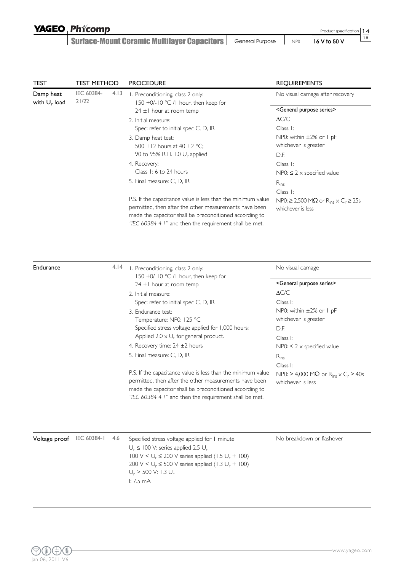## YAGEO Phicomp

Surface-Mount Ceramic Multilayer Capacitors | General Purpose | NP0 | 16 V to 50 V

14 15

| <b>TEST</b>                  | <b>TEST METHOD</b>  |      | <b>PROCEDURE</b>                                                                                                                                                                                                                                                                                                                                                                                                                                                                                                                                                                                                                                          | <b>REQUIREMENTS</b>                                                                                                                                                                                                                                                                                                                                                                                                                                                            |  |
|------------------------------|---------------------|------|-----------------------------------------------------------------------------------------------------------------------------------------------------------------------------------------------------------------------------------------------------------------------------------------------------------------------------------------------------------------------------------------------------------------------------------------------------------------------------------------------------------------------------------------------------------------------------------------------------------------------------------------------------------|--------------------------------------------------------------------------------------------------------------------------------------------------------------------------------------------------------------------------------------------------------------------------------------------------------------------------------------------------------------------------------------------------------------------------------------------------------------------------------|--|
| Damp heat<br>with $U_r$ load | IEC 60384-<br>21/22 | 4.13 | I. Preconditioning, class 2 only:<br>150 +0/-10 °C /1 hour, then keep for<br>$24 \pm 1$ hour at room temp<br>2. Initial measure:<br>Spec: refer to initial spec C, D, IR<br>3. Damp heat test:<br>500 $\pm$ 12 hours at 40 $\pm$ 2 °C;<br>90 to 95% R.H. 1.0 U <sub>r</sub> applied<br>4. Recovery:<br>Class 1: 6 to 24 hours<br>5. Final measure: C, D, IR<br>P.S. If the capacitance value is less than the minimum value<br>permitted, then after the other measurements have been<br>made the capacitor shall be preconditioned according to<br>"IEC 60384 4.1" and then the requirement shall be met.                                                | No visual damage after recovery<br><general purpose="" series=""><br/><math>\Delta C/C</math><br/>Class I:<br/>NP0: within <math>\pm 2\%</math> or 1 pF<br/>whichever is greater<br/>D.F.<br/>Class 1:<br/>NP0: <math>\leq</math> 2 <math>\times</math> specified value<br/><math>R_{ins}</math><br/>Class I:<br/>NP0: <math>\geq</math> 2,500 M<math>\Omega</math> or R<sub>ins</sub> <math>\times</math> C<sub>r</sub> <math>\geq</math> 25s<br/>whichever is less</general> |  |
| Endurance                    |                     | 4.14 | I. Preconditioning, class 2 only:<br>150 +0/-10 °C /1 hour, then keep for<br>$24 \pm 1$ hour at room temp<br>2. Initial measure:<br>Spec: refer to initial spec C, D, IR<br>3. Endurance test:<br>Temperature: NP0: 125 °C<br>Specified stress voltage applied for 1,000 hours:<br>Applied 2.0 $\times$ U <sub>r</sub> for general product.<br>4. Recovery time: 24 ±2 hours<br>5. Final measure: C, D, IR<br>P.S. If the capacitance value is less than the minimum value<br>permitted, then after the other measurements have been<br>made the capacitor shall be preconditioned according to<br>"IEC 60384 4.1" and then the requirement shall be met. | No visual damage<br><general purpose="" series=""><br/><math display="inline">\Delta{\rm C/C}</math><br/>Class I:<br/>NP0: within ±2% or 1 pF<br/>whichever is greater<br/>D.F.<br/>Class I:<br/>NP0: <math>\leq</math> 2 <math>\times</math> specified value<br/><math>R_{ins}</math><br/>Class I:<br/>NP0: <math>\geq</math> 4,000 M<math>\Omega</math> or R<sub>ins</sub> <math>\times</math> C<sub>r</sub> <math>\geq</math> 40s<br/>whichever is less</general>           |  |
| Voltage proof                | IEC 60384-1         | 4.6  | Specified stress voltage applied for 1 minute<br>$U_r \leq 100$ V: series applied 2.5 $U_r$<br>$100 \text{ V} < U_r \le 200 \text{ V}$ series applied (1.5 $U_r$ + 100)<br>200 V < $U_r \le 500$ V series applied (1.3 $U_r$ + 100)<br>$U_r$ > 500 V: 1.3 $U_r$<br>1:7.5mA                                                                                                                                                                                                                                                                                                                                                                                | No breakdown or flashover                                                                                                                                                                                                                                                                                                                                                                                                                                                      |  |